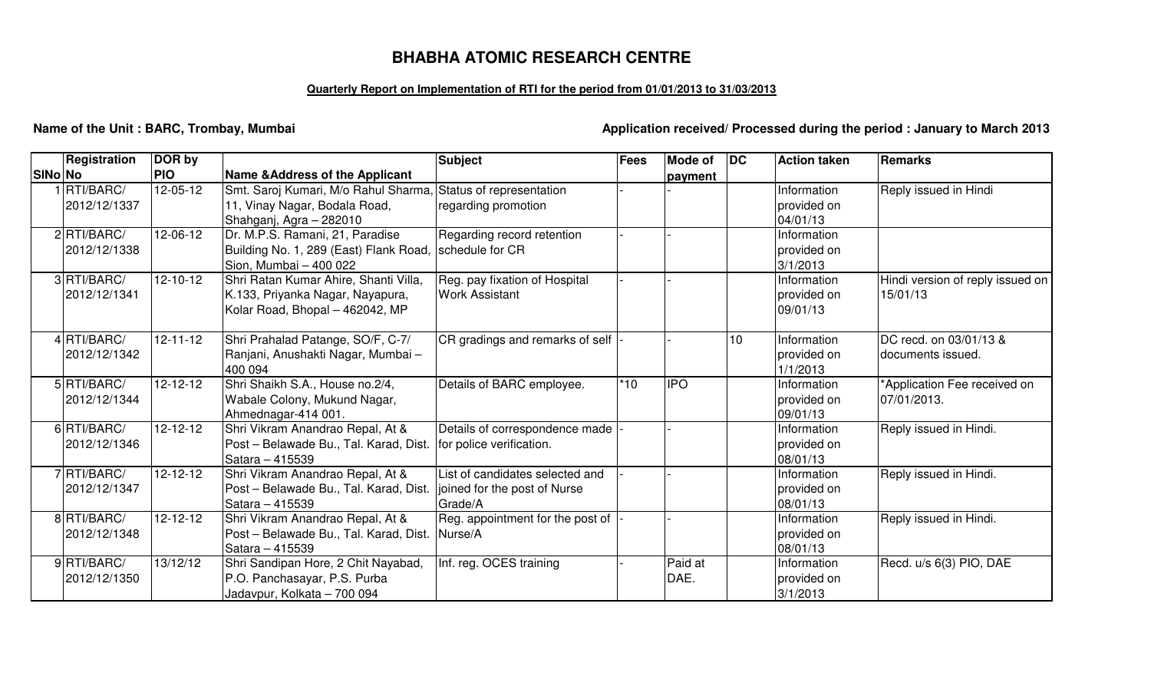## **BHABHA ATOMIC RESEARCH CENTRE**

### **Quarterly Report on Implementation of RTI for the period from 01/01/2013 to 31/03/2013**

#### **Name of the Unit : BARC, Trombay, Mumbai**

**Application received/ Processed during the period : January to March 2013**

|         | <b>Registration</b>  | DOR by         |                                                               | <b>Subject</b>                   | <b>Fees</b> | Mode of    | DC | <b>Action taken</b> | <b>Remarks</b>                   |
|---------|----------------------|----------------|---------------------------------------------------------------|----------------------------------|-------------|------------|----|---------------------|----------------------------------|
| SINo No |                      | <b>PIO</b>     | Name & Address of the Applicant                               |                                  |             | payment    |    |                     |                                  |
|         | 1RTI/BARC/           | 12-05-12       | Smt. Saroj Kumari, M/o Rahul Sharma, Status of representation |                                  |             |            |    | Information         | Reply issued in Hindi            |
|         | 2012/12/1337         |                | 11, Vinay Nagar, Bodala Road,                                 | regarding promotion              |             |            |    | provided on         |                                  |
|         |                      |                | Shahganj, Agra - 282010                                       |                                  |             |            |    | 04/01/13            |                                  |
|         | $2$ <b>RTI/BARC/</b> | $12-06-12$     | Dr. M.P.S. Ramani, 21, Paradise                               | Regarding record retention       |             |            |    | Information         |                                  |
|         | 2012/12/1338         |                | Building No. 1, 289 (East) Flank Road,                        | schedule for CR                  |             |            |    | provided on         |                                  |
|         |                      |                | Sion, Mumbai - 400 022                                        |                                  |             |            |    | 3/1/2013            |                                  |
|         | 3RTI/BARC/           | 12-10-12       | Shri Ratan Kumar Ahire, Shanti Villa,                         | Reg. pay fixation of Hospital    |             |            |    | Information         | Hindi version of reply issued on |
|         | 2012/12/1341         |                | K.133, Priyanka Nagar, Nayapura,                              | <b>Work Assistant</b>            |             |            |    | provided on         | 15/01/13                         |
|         |                      |                | Kolar Road, Bhopal - 462042, MP                               |                                  |             |            |    | 09/01/13            |                                  |
|         | 4RTI/BARC/           | 12-11-12       | Shri Prahalad Patange, SO/F, C-7/                             | CR gradings and remarks of self  |             |            | 10 | Information         | DC recd. on 03/01/13 &           |
|         | 2012/12/1342         |                | Ranjani, Anushakti Nagar, Mumbai -                            |                                  |             |            |    | provided on         | documents issued.                |
|         |                      |                | 400 094                                                       |                                  |             |            |    | 1/1/2013            |                                  |
|         | 5RTI/BARC/           | 12-12-12       | Shri Shaikh S.A., House no.2/4,                               | Details of BARC employee.        | $*10$       | <b>IPO</b> |    | Information         | *Application Fee received on     |
|         | 2012/12/1344         |                | Wabale Colony, Mukund Nagar,                                  |                                  |             |            |    | provided on         | 07/01/2013.                      |
|         |                      |                | Ahmednagar-414 001.                                           |                                  |             |            |    | 09/01/13            |                                  |
|         | 6 RTI/BARC/          | $12 - 12 - 12$ | Shri Vikram Anandrao Repal, At &                              | Details of correspondence made   |             |            |    | Information         | Reply issued in Hindi.           |
|         | 2012/12/1346         |                | Post - Belawade Bu., Tal. Karad, Dist.                        | for police verification.         |             |            |    | provided on         |                                  |
|         |                      |                | Satara - 415539                                               |                                  |             |            |    | 08/01/13            |                                  |
|         | 7RTI/BARC/           | 12-12-12       | Shri Vikram Anandrao Repal, At &                              | List of candidates selected and  |             |            |    | Information         | Reply issued in Hindi.           |
|         | 2012/12/1347         |                | Post - Belawade Bu., Tal. Karad, Dist.                        | joined for the post of Nurse     |             |            |    | provided on         |                                  |
|         |                      |                | Satara - 415539                                               | Grade/A                          |             |            |    | 08/01/13            |                                  |
|         | 8RTI/BARC/           | 12-12-12       | Shri Vikram Anandrao Repal, At &                              | Reg. appointment for the post of |             |            |    | Information         | Reply issued in Hindi.           |
|         | 2012/12/1348         |                | Post - Belawade Bu., Tal. Karad, Dist.                        | Nurse/A                          |             |            |    | provided on         |                                  |
|         |                      |                | Satara - 415539                                               |                                  |             |            |    | 08/01/13            |                                  |
|         | 9RTI/BARC/           | 13/12/12       | Shri Sandipan Hore, 2 Chit Nayabad,                           | Inf. reg. OCES training          |             | Paid at    |    | Information         | Recd. u/s 6(3) PIO, DAE          |
|         | 2012/12/1350         |                | P.O. Panchasayar, P.S. Purba                                  |                                  |             | DAE.       |    | provided on         |                                  |
|         |                      |                | Jadavpur, Kolkata - 700 094                                   |                                  |             |            |    | 3/1/2013            |                                  |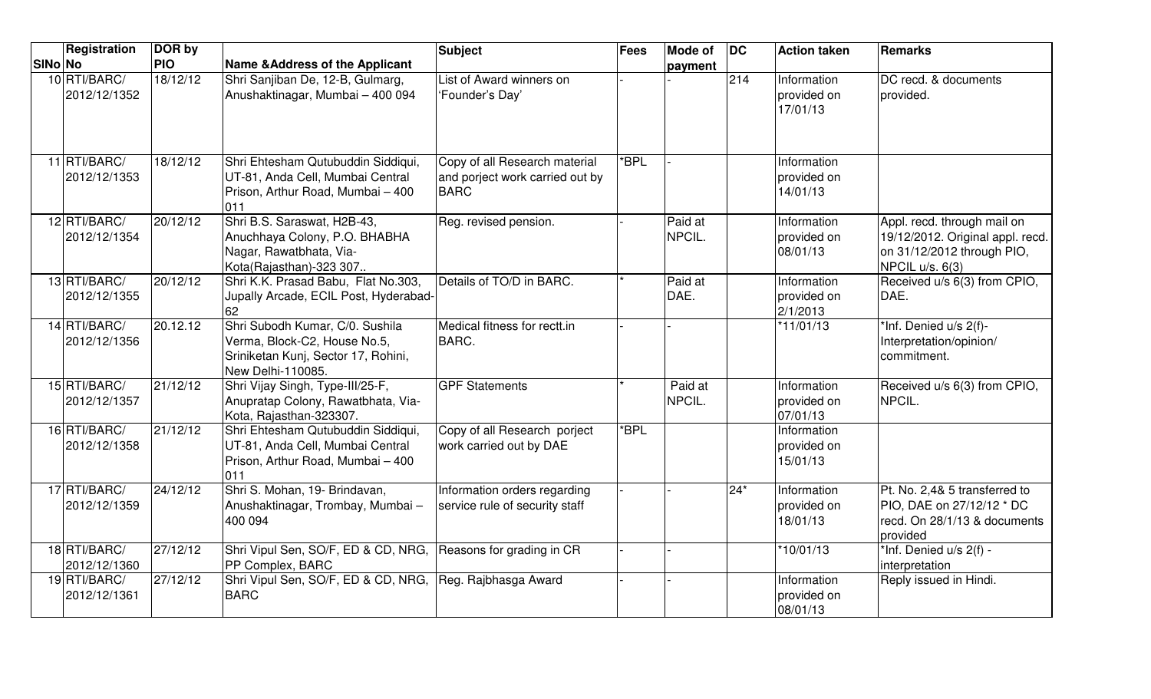|         | Registration                 | DOR by     |                                                                                                                             | <b>Subject</b>                                                                  | Fees | <b>Mode of</b>    | $\overline{D}$ | <b>Action taken</b>                    | Remarks                                                                                                          |
|---------|------------------------------|------------|-----------------------------------------------------------------------------------------------------------------------------|---------------------------------------------------------------------------------|------|-------------------|----------------|----------------------------------------|------------------------------------------------------------------------------------------------------------------|
| SINo No |                              | <b>PIO</b> | <b>Name &amp; Address of the Applicant</b>                                                                                  |                                                                                 |      | payment           |                |                                        |                                                                                                                  |
|         | 10 RTI/BARC/<br>2012/12/1352 | 18/12/12   | Shri Sanjiban De, 12-B, Gulmarg,<br>Anushaktinagar, Mumbai - 400 094                                                        | List of Award winners on<br>'Founder's Day'                                     |      |                   | 214            | Information<br>provided on<br>17/01/13 | DC recd. & documents<br>provided.                                                                                |
|         | 11 RTI/BARC/<br>2012/12/1353 | 18/12/12   | Shri Ehtesham Qutubuddin Siddiqui,<br>UT-81, Anda Cell, Mumbai Central<br>Prison, Arthur Road, Mumbai - 400<br>011          | Copy of all Research material<br>and porject work carried out by<br><b>BARC</b> | *BPL |                   |                | Information<br>provided on<br>14/01/13 |                                                                                                                  |
|         | 12 RTI/BARC/<br>2012/12/1354 | 20/12/12   | Shri B.S. Saraswat, H2B-43,<br>Anuchhaya Colony, P.O. BHABHA<br>Nagar, Rawatbhata, Via-<br>Kota(Rajasthan)-323 307          | Reg. revised pension.                                                           |      | Paid at<br>NPCIL. |                | Information<br>provided on<br>08/01/13 | Appl. recd. through mail on<br>19/12/2012. Original appl. recd.<br>on 31/12/2012 through PIO,<br>NPCIL u/s. 6(3) |
|         | 13 RTI/BARC/<br>2012/12/1355 | 20/12/12   | Shri K.K. Prasad Babu, Flat No.303,<br>Jupally Arcade, ECIL Post, Hyderabad-<br>62                                          | Details of TO/D in BARC.                                                        |      | Paid at<br>DAE.   |                | Information<br>provided on<br>2/1/2013 | Received u/s 6(3) from CPIO,<br>DAE.                                                                             |
|         | 14 RTI/BARC/<br>2012/12/1356 | 20.12.12   | Shri Subodh Kumar, C/0. Sushila<br>Verma, Block-C2, House No.5,<br>Sriniketan Kunj, Sector 17, Rohini,<br>New Delhi-110085. | Medical fitness for rectt.in<br><b>BARC.</b>                                    |      |                   |                | *11/01/13                              | *Inf. Denied u/s 2(f)-<br>Interpretation/opinion/<br>commitment.                                                 |
|         | 15 RTI/BARC/<br>2012/12/1357 | 21/12/12   | Shri Vijay Singh, Type-III/25-F,<br>Anupratap Colony, Rawatbhata, Via-<br>Kota, Rajasthan-323307.                           | <b>GPF Statements</b>                                                           |      | Paid at<br>NPCIL. |                | Information<br>provided on<br>07/01/13 | Received u/s 6(3) from CPIO,<br>NPCIL.                                                                           |
|         | 16 RTI/BARC/<br>2012/12/1358 | 21/12/12   | Shri Ehtesham Qutubuddin Siddiqui,<br>UT-81, Anda Cell, Mumbai Central<br>Prison, Arthur Road, Mumbai - 400<br>011          | Copy of all Research porject<br>work carried out by DAE                         | *BPL |                   |                | Information<br>provided on<br>15/01/13 |                                                                                                                  |
|         | 17 RTI/BARC/<br>2012/12/1359 | 24/12/12   | Shri S. Mohan, 19- Brindavan,<br>Anushaktinagar, Trombay, Mumbai-<br>400 094                                                | Information orders regarding<br>service rule of security staff                  |      |                   | $24*$          | Information<br>provided on<br>18/01/13 | Pt. No. 2,4& 5 transferred to<br>PIO, DAE on 27/12/12 * DC<br>recd. On 28/1/13 & documents<br>provided           |
|         | 18 RTI/BARC/<br>2012/12/1360 | 27/12/12   | Shri Vipul Sen, SO/F, ED & CD, NRG,<br>PP Complex, BARC                                                                     | Reasons for grading in CR                                                       |      |                   |                | *10/01/13                              | *Inf. Denied u/s 2(f) -<br>interpretation                                                                        |
|         | 19RTI/BARC/<br>2012/12/1361  | 27/12/12   | Shri Vipul Sen, SO/F, ED & CD, NRG,<br><b>BARC</b>                                                                          | Reg. Rajbhasga Award                                                            |      |                   |                | Information<br>provided on<br>08/01/13 | Reply issued in Hindi.                                                                                           |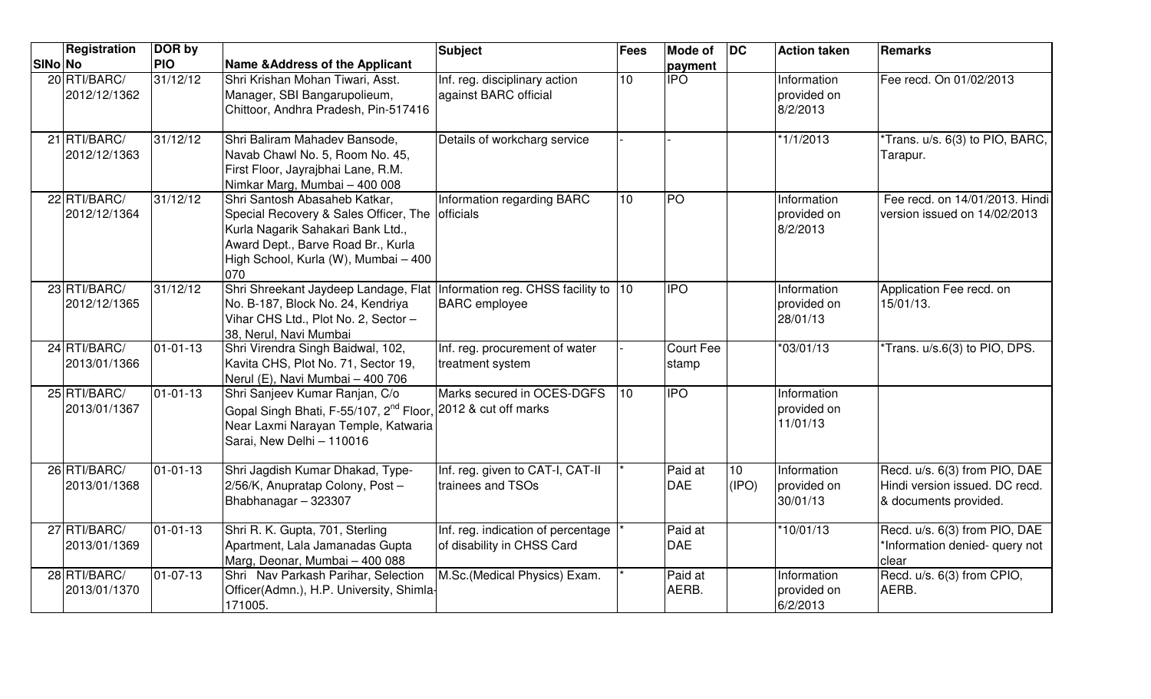|         | Registration                 | DOR by                 |                                                                                                                                                                                                            | <b>Subject</b>                                                   | Fees            | <b>Mode of</b>        | $\overline{D}$           | <b>Action taken</b>                    | Remarks                                                                                  |
|---------|------------------------------|------------------------|------------------------------------------------------------------------------------------------------------------------------------------------------------------------------------------------------------|------------------------------------------------------------------|-----------------|-----------------------|--------------------------|----------------------------------------|------------------------------------------------------------------------------------------|
| SINo No |                              | <b>PIO</b>             | <b>Name &amp; Address of the Applicant</b>                                                                                                                                                                 |                                                                  |                 | payment               |                          |                                        |                                                                                          |
|         | 20 RTI/BARC/<br>2012/12/1362 | 31/12/12               | Shri Krishan Mohan Tiwari, Asst.<br>Manager, SBI Bangarupolieum,<br>Chittoor, Andhra Pradesh, Pin-517416                                                                                                   | Inf. reg. disciplinary action<br>against BARC official           | 10              | <b>IPO</b>            |                          | Information<br>provided on<br>8/2/2013 | Fee recd. On 01/02/2013                                                                  |
|         | 21 RTI/BARC/<br>2012/12/1363 | 31/12/12               | Shri Baliram Mahadev Bansode,<br>Navab Chawl No. 5, Room No. 45,<br>First Floor, Jayrajbhai Lane, R.M.<br>Nimkar Marg, Mumbai - 400 008                                                                    | Details of workcharg service                                     |                 |                       |                          | $*1/1/2013$                            | Trans. u/s. 6(3) to PIO, BARC,<br>Tarapur.                                               |
|         | 22 RTI/BARC/<br>2012/12/1364 | 31/12/12               | Shri Santosh Abasaheb Katkar,<br>Special Recovery & Sales Officer, The officials<br>Kurla Nagarik Sahakari Bank Ltd.,<br>Award Dept., Barve Road Br., Kurla<br>High School, Kurla (W), Mumbai – 400<br>070 | Information regarding BARC                                       | 10              | $\overline{PQ}$       |                          | Information<br>provided on<br>8/2/2013 | Fee recd. on 14/01/2013. Hindi<br>version issued on 14/02/2013                           |
|         | 23 RTI/BARC/<br>2012/12/1365 | 31/12/12               | Shri Shreekant Jaydeep Landage, Flat   Information reg. CHSS facility to  10<br>No. B-187, Block No. 24, Kendriya<br>Vihar CHS Ltd., Plot No. 2, Sector -<br>38, Nerul, Navi Mumbai                        | <b>BARC</b> employee                                             |                 | <b>IPO</b>            |                          | Information<br>provided on<br>28/01/13 | Application Fee recd. on<br>15/01/13.                                                    |
|         | 24 RTI/BARC/<br>2013/01/1366 | $01 - 01 - 13$         | Shri Virendra Singh Baidwal, 102,<br>Kavita CHS, Plot No. 71, Sector 19,<br>Nerul (E), Navi Mumbai - 400 706                                                                                               | Inf. reg. procurement of water<br>treatment system               |                 | Court Fee<br>stamp    |                          | $*03/01/13$                            | Trans. u/s.6(3) to PIO, DPS.                                                             |
|         | 25 RTI/BARC/<br>2013/01/1367 | $01 - 01 - 13$         | Shri Sanjeev Kumar Ranjan, C/o<br>Gopal Singh Bhati, F-55/107, 2 <sup>nd</sup> Floor, 2012 & cut off marks<br>Near Laxmi Narayan Temple, Katwaria<br>Sarai, New Delhi - 110016                             | Marks secured in OCES-DGFS                                       | $\overline{10}$ | <b>IPO</b>            |                          | Information<br>provided on<br>11/01/13 |                                                                                          |
|         | 26 RTI/BARC/<br>2013/01/1368 | $01 - 01 - 13$         | Shri Jagdish Kumar Dhakad, Type-<br>2/56/K, Anupratap Colony, Post-<br>Bhabhanagar - 323307                                                                                                                | Inf. reg. given to CAT-I, CAT-II<br>trainees and TSOs            |                 | Paid at<br><b>DAE</b> | 10 <sup>°</sup><br>(IPO) | Information<br>provided on<br>30/01/13 | Recd. u/s. 6(3) from PIO, DAE<br>Hindi version issued. DC recd.<br>& documents provided. |
|         | 27 RTI/BARC/<br>2013/01/1369 | $\overline{01}$ -01-13 | Shri R. K. Gupta, 701, Sterling<br>Apartment, Lala Jamanadas Gupta<br>Marg, Deonar, Mumbai - 400 088                                                                                                       | Inf. reg. indication of percentage<br>of disability in CHSS Card |                 | Paid at<br><b>DAE</b> |                          | *10/01/13                              | Recd. u/s. 6(3) from PIO, DAE<br>*Information denied- query not<br>clear                 |
|         | 28 RTI/BARC/<br>2013/01/1370 | $01 - 07 - 13$         | Shri Nav Parkash Parihar, Selection<br>Officer(Admn.), H.P. University, Shimla-<br>171005.                                                                                                                 | M.Sc. (Medical Physics) Exam.                                    |                 | Paid at<br>AERB.      |                          | Information<br>provided on<br>6/2/2013 | Recd. u/s. 6(3) from CPIO,<br>AERB.                                                      |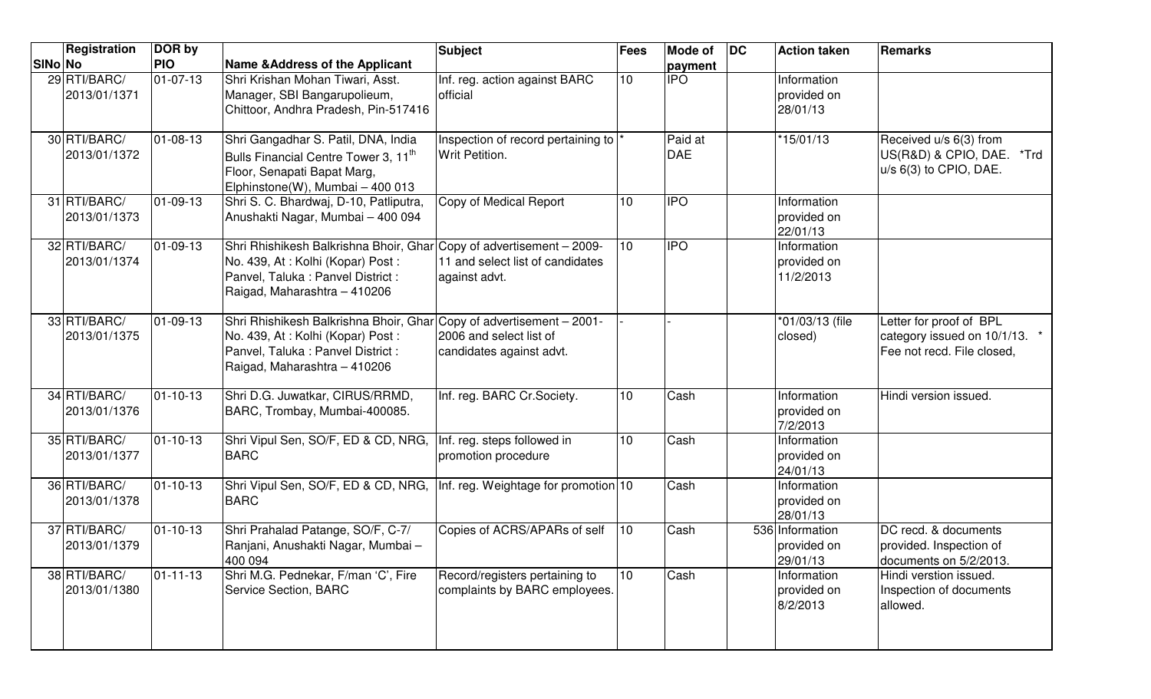|         | <b>Registration</b>          | DOR by           |                                                                                                                                                                                | Subject                                                         | Fees            | <b>Mode of</b>        | <b>DC</b> | <b>Action taken</b>                        | Remarks                                                                                |
|---------|------------------------------|------------------|--------------------------------------------------------------------------------------------------------------------------------------------------------------------------------|-----------------------------------------------------------------|-----------------|-----------------------|-----------|--------------------------------------------|----------------------------------------------------------------------------------------|
| SINo No |                              | <b>PIO</b>       | <b>Name &amp; Address of the Applicant</b>                                                                                                                                     |                                                                 |                 | payment               |           |                                            |                                                                                        |
|         | 29 RTI/BARC/<br>2013/01/1371 | $01 - 07 - 13$   | Shri Krishan Mohan Tiwari, Asst.<br>Manager, SBI Bangarupolieum,<br>Chittoor, Andhra Pradesh, Pin-517416                                                                       | Inf. reg. action against BARC<br>official                       | 10              | <b>IPO</b>            |           | Information<br>provided on<br>28/01/13     |                                                                                        |
|         | 30 RTI/BARC/<br>2013/01/1372 | 01-08-13         | Shri Gangadhar S. Patil, DNA, India<br>Bulls Financial Centre Tower 3, 11 <sup>th</sup><br>Floor, Senapati Bapat Marg,<br>Elphinstone(W), Mumbai - 400 013                     | Inspection of record pertaining to<br>Writ Petition.            |                 | Paid at<br><b>DAE</b> |           | *15/01/13                                  | Received u/s 6(3) from<br>US(R&D) & CPIO, DAE. *Trd<br>$u/s$ 6(3) to CPIO, DAE.        |
|         | 31 RTI/BARC/<br>2013/01/1373 | 01-09-13         | Shri S. C. Bhardwaj, D-10, Patliputra,<br>Anushakti Nagar, Mumbai - 400 094                                                                                                    | Copy of Medical Report                                          | 10              | <b>IPO</b>            |           | Information<br>provided on<br>22/01/13     |                                                                                        |
|         | 32 RTI/BARC/<br>2013/01/1374 | 01-09-13         | Shri Rhishikesh Balkrishna Bhoir, Ghar Copy of advertisement - 2009-<br>No. 439, At : Kolhi (Kopar) Post :<br>Panvel, Taluka: Panvel District:<br>Raigad, Maharashtra - 410206 | 11 and select list of candidates<br>against advt.               | 10              | <b>IPO</b>            |           | Information<br>provided on<br>11/2/2013    |                                                                                        |
|         | 33 RTI/BARC/<br>2013/01/1375 | 01-09-13         | Shri Rhishikesh Balkrishna Bhoir, Ghar Copy of advertisement - 2001-<br>No. 439, At: Kolhi (Kopar) Post:<br>Panvel, Taluka : Panvel District :<br>Raigad, Maharashtra - 410206 | 2006 and select list of<br>candidates against advt.             |                 |                       |           | *01/03/13 (file<br>closed)                 | Letter for proof of BPL<br>category issued on 10/1/13. *<br>Fee not recd. File closed, |
|         | 34 RTI/BARC/<br>2013/01/1376 | $[01 - 10 - 13]$ | Shri D.G. Juwatkar, CIRUS/RRMD,<br>BARC, Trombay, Mumbai-400085.                                                                                                               | Inf. reg. BARC Cr.Society.                                      | 10              | Cash                  |           | Information<br>provided on<br>7/2/2013     | Hindi version issued.                                                                  |
|         | 35 RTI/BARC/<br>2013/01/1377 | $01 - 10 - 13$   | Shri Vipul Sen, SO/F, ED & CD, NRG,<br><b>BARC</b>                                                                                                                             | Inf. reg. steps followed in<br>promotion procedure              | 10              | Cash                  |           | Information<br>provided on<br>24/01/13     |                                                                                        |
|         | 36 RTI/BARC/<br>2013/01/1378 | $01 - 10 - 13$   | Shri Vipul Sen, SO/F, ED & CD, NRG,  Inf. reg. Weightage for promotion 10<br><b>BARC</b>                                                                                       |                                                                 |                 | Cash                  |           | Information<br>provided on<br>28/01/13     |                                                                                        |
|         | 37 RTI/BARC/<br>2013/01/1379 | $01 - 10 - 13$   | Shri Prahalad Patange, SO/F, C-7/<br>Ranjani, Anushakti Nagar, Mumbai -<br>400 094                                                                                             | Copies of ACRS/APARs of self                                    | $\overline{10}$ | Cash                  |           | 536 Information<br>provided on<br>29/01/13 | DC recd. & documents<br>provided. Inspection of<br>documents on 5/2/2013.              |
|         | 38 RTI/BARC/<br>2013/01/1380 | $01 - 11 - 13$   | Shri M.G. Pednekar, F/man 'C', Fire<br>Service Section, BARC                                                                                                                   | Record/registers pertaining to<br>complaints by BARC employees. | 10              | Cash                  |           | Information<br>provided on<br>8/2/2013     | Hindi verstion issued.<br>Inspection of documents<br>allowed.                          |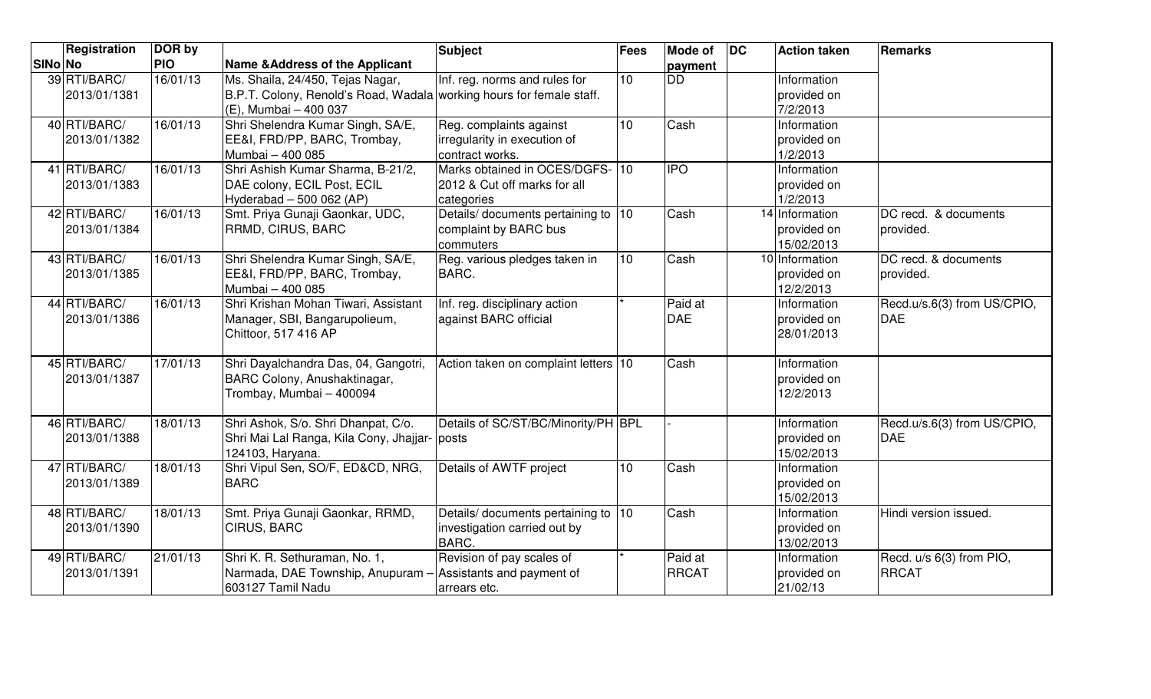|         | Registration | DOR by     |                                                                      | <b>Subject</b>                       | Fees            | <b>Mode of</b> | DC | <b>Action taken</b> | <b>Remarks</b>              |
|---------|--------------|------------|----------------------------------------------------------------------|--------------------------------------|-----------------|----------------|----|---------------------|-----------------------------|
| SINo No |              | <b>PIO</b> | <b>Name &amp; Address of the Applicant</b>                           |                                      |                 | payment        |    |                     |                             |
|         | 39 RTI/BARC/ | 16/01/13   | Ms. Shaila, 24/450, Tejas Nagar,                                     | Inf. reg. norms and rules for        | 10 <sup>1</sup> | <b>DD</b>      |    | Information         |                             |
|         | 2013/01/1381 |            | B.P.T. Colony, Renold's Road, Wadala working hours for female staff. |                                      |                 |                |    | provided on         |                             |
|         |              |            | (E), Mumbai - 400 037                                                |                                      |                 |                |    | 7/2/2013            |                             |
|         | 40 RTI/BARC/ | 16/01/13   | Shri Shelendra Kumar Singh, SA/E,                                    | Reg. complaints against              | 10              | Cash           |    | Information         |                             |
|         | 2013/01/1382 |            | EE&I, FRD/PP, BARC, Trombay,                                         | irregularity in execution of         |                 |                |    | provided on         |                             |
|         |              |            | Mumbai - 400 085                                                     | contract works.                      |                 |                |    | 1/2/2013            |                             |
|         | 41 RTI/BARC/ | 16/01/13   | Shri Ashish Kumar Sharma, B-21/2,                                    | Marks obtained in OCES/DGFS-10       |                 | <b>IPO</b>     |    | Information         |                             |
|         | 2013/01/1383 |            | DAE colony, ECIL Post, ECIL                                          | 2012 & Cut off marks for all         |                 |                |    | provided on         |                             |
|         |              |            | Hyderabad - 500 062 (AP)                                             | categories                           |                 |                |    | 1/2/2013            |                             |
|         | 42 RTI/BARC/ | 16/01/13   | Smt. Priya Gunaji Gaonkar, UDC,                                      | Details/ documents pertaining to 10  |                 | Cash           |    | 14 Information      | DC recd. & documents        |
|         | 2013/01/1384 |            | RRMD, CIRUS, BARC                                                    | complaint by BARC bus                |                 |                |    | provided on         | provided.                   |
|         |              |            |                                                                      | commuters                            |                 |                |    | 15/02/2013          |                             |
|         | 43 RTI/BARC/ | 16/01/13   | Shri Shelendra Kumar Singh, SA/E,                                    | Reg. various pledges taken in        | 10              | Cash           |    | 10 Information      | DC recd. & documents        |
|         | 2013/01/1385 |            | EE&I, FRD/PP, BARC, Trombay,                                         | BARC.                                |                 |                |    | provided on         | provided.                   |
|         |              |            | Mumbai - 400 085                                                     |                                      |                 |                |    | 12/2/2013           |                             |
|         | 44 RTI/BARC/ | 16/01/13   | Shri Krishan Mohan Tiwari, Assistant                                 | Inf. reg. disciplinary action        |                 | Paid at        |    | Information         | Recd.u/s.6(3) from US/CPIO, |
|         | 2013/01/1386 |            | Manager, SBI, Bangarupolieum,                                        | against BARC official                |                 | <b>DAE</b>     |    | provided on         | <b>DAE</b>                  |
|         |              |            | Chittoor, 517 416 AP                                                 |                                      |                 |                |    | 28/01/2013          |                             |
|         |              |            |                                                                      |                                      |                 |                |    |                     |                             |
|         | 45 RTI/BARC/ | 17/01/13   | Shri Dayalchandra Das, 04, Gangotri,                                 | Action taken on complaint letters 10 |                 | Cash           |    | Information         |                             |
|         | 2013/01/1387 |            | BARC Colony, Anushaktinagar,                                         |                                      |                 |                |    | provided on         |                             |
|         |              |            | Trombay, Mumbai - 400094                                             |                                      |                 |                |    | 12/2/2013           |                             |
|         |              |            |                                                                      |                                      |                 |                |    |                     |                             |
|         | 46 RTI/BARC/ | 18/01/13   | Shri Ashok, S/o. Shri Dhanpat, C/o.                                  | Details of SC/ST/BC/Minority/PH BPL  |                 |                |    | Information         | Recd.u/s.6(3) from US/CPIO, |
|         | 2013/01/1388 |            | Shri Mai Lal Ranga, Kila Cony, Jhajjar- posts                        |                                      |                 |                |    | provided on         | <b>DAE</b>                  |
|         |              |            | 124103, Haryana.                                                     |                                      |                 |                |    | 15/02/2013          |                             |
|         | 47 RTI/BARC/ | 18/01/13   | Shri Vipul Sen, SO/F, ED&CD, NRG,                                    | Details of AWTF project              | 10              | Cash           |    | Information         |                             |
|         | 2013/01/1389 |            | <b>BARC</b>                                                          |                                      |                 |                |    | provided on         |                             |
|         |              |            |                                                                      |                                      |                 |                |    | 15/02/2013          |                             |
|         | 48 RTI/BARC/ | 18/01/13   | Smt. Priya Gunaji Gaonkar, RRMD,                                     | Details/ documents pertaining to 10  |                 | Cash           |    | Information         | Hindi version issued.       |
|         | 2013/01/1390 |            | CIRUS, BARC                                                          | investigation carried out by         |                 |                |    | provided on         |                             |
|         |              |            |                                                                      | <b>BARC.</b>                         |                 |                |    | 13/02/2013          |                             |
|         | 49 RTI/BARC/ | 21/01/13   | Shri K. R. Sethuraman, No. 1,                                        | Revision of pay scales of            |                 | Paid at        |    | Information         | Recd. u/s 6(3) from PIO,    |
|         | 2013/01/1391 |            | Narmada, DAE Township, Anupuram -                                    | Assistants and payment of            |                 | <b>RRCAT</b>   |    | provided on         | <b>RRCAT</b>                |
|         |              |            | 603127 Tamil Nadu                                                    | arrears etc.                         |                 |                |    | 21/02/13            |                             |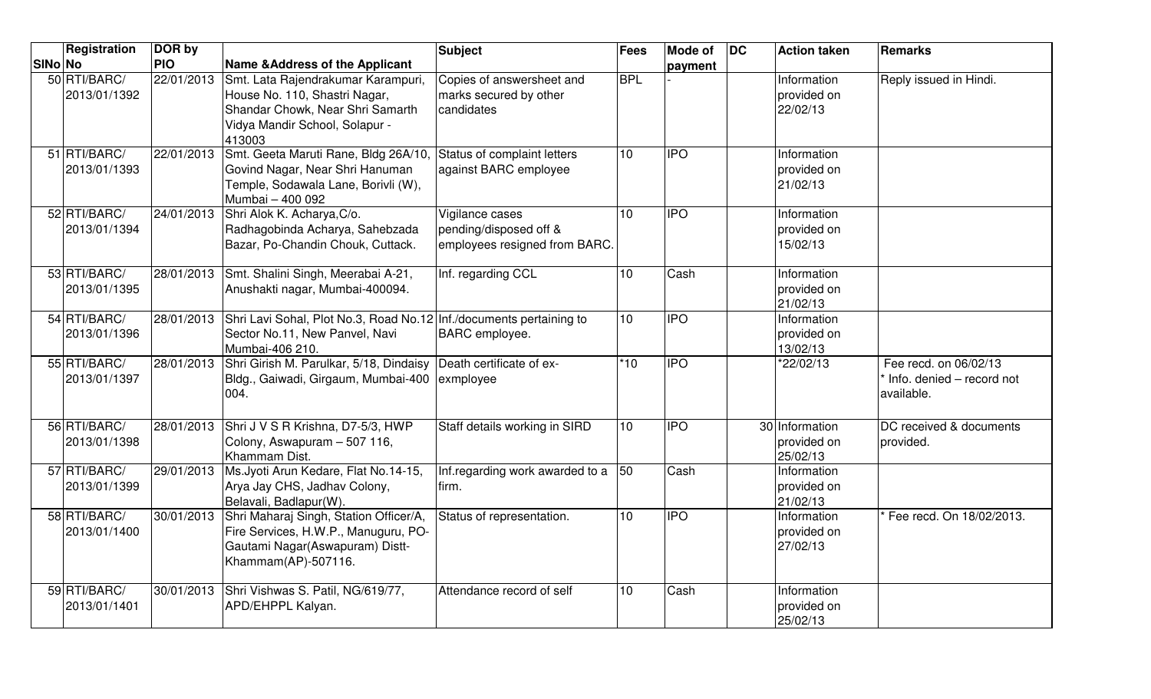|         | Registration                 | DOR by     |                                                                                                                                                     | <b>Subject</b>                                                             | Fees            | <b>Mode of</b>   | $\overline{D}$ | <b>Action taken</b>                       | <b>Remarks</b>                                                     |
|---------|------------------------------|------------|-----------------------------------------------------------------------------------------------------------------------------------------------------|----------------------------------------------------------------------------|-----------------|------------------|----------------|-------------------------------------------|--------------------------------------------------------------------|
| SINo No |                              | <b>PIO</b> | <b>Name &amp; Address of the Applicant</b>                                                                                                          |                                                                            |                 | payment          |                |                                           |                                                                    |
|         | 50 RTI/BARC/<br>2013/01/1392 | 22/01/2013 | Smt. Lata Rajendrakumar Karampuri,<br>House No. 110, Shastri Nagar,<br>Shandar Chowk, Near Shri Samarth<br>Vidya Mandir School, Solapur -<br>413003 | Copies of answersheet and<br>marks secured by other<br>candidates          | <b>BPL</b>      |                  |                | Information<br>provided on<br>22/02/13    | Reply issued in Hindi.                                             |
|         | 51 RTI/BARC/<br>2013/01/1393 | 22/01/2013 | Smt. Geeta Maruti Rane, Bldg 26A/10,<br>Govind Nagar, Near Shri Hanuman<br>Temple, Sodawala Lane, Borivli (W),<br>Mumbai - 400 092                  | Status of complaint letters<br>against BARC employee                       | 10              | <b>IPO</b>       |                | Information<br>provided on<br>21/02/13    |                                                                    |
|         | 52 RTI/BARC/<br>2013/01/1394 | 24/01/2013 | Shri Alok K. Acharya, C/o.<br>Radhagobinda Acharya, Sahebzada<br>Bazar, Po-Chandin Chouk, Cuttack.                                                  | Vigilance cases<br>pending/disposed off &<br>employees resigned from BARC. | 10 <sup>1</sup> | <b>IPO</b>       |                | Information<br>provided on<br>15/02/13    |                                                                    |
|         | 53 RTI/BARC/<br>2013/01/1395 | 28/01/2013 | Smt. Shalini Singh, Meerabai A-21,<br>Anushakti nagar, Mumbai-400094.                                                                               | Inf. regarding CCL                                                         | 10 <sup>1</sup> | Cash             |                | Information<br>provided on<br>21/02/13    |                                                                    |
|         | 54 RTI/BARC/<br>2013/01/1396 | 28/01/2013 | Shri Lavi Sohal, Plot No.3, Road No.12 Inf./documents pertaining to<br>Sector No.11, New Panvel, Navi<br>Mumbai-406 210.                            | <b>BARC</b> employee.                                                      | 10              | <b>IPO</b>       |                | Information<br>provided on<br>13/02/13    |                                                                    |
|         | 55 RTI/BARC/<br>2013/01/1397 | 28/01/2013 | Shri Girish M. Parulkar, 5/18, Dindaisy Death certificate of ex-<br>Bldg., Gaiwadi, Girgaum, Mumbai-400 exmployee<br>004.                           |                                                                            | $*10$           | <b>IPO</b>       |                | *22/02/13                                 | Fee recd. on 06/02/13<br>* Info. denied - record not<br>available. |
|         | 56 RTI/BARC/<br>2013/01/1398 | 28/01/2013 | Shri J V S R Krishna, D7-5/3, HWP<br>Colony, Aswapuram - 507 116,<br>Khammam Dist.                                                                  | Staff details working in SIRD                                              | 10              | $\overline{IPO}$ |                | 30 Information<br>provided on<br>25/02/13 | DC received & documents<br>provided.                               |
|         | 57 RTI/BARC/<br>2013/01/1399 | 29/01/2013 | Ms. Jyoti Arun Kedare, Flat No. 14-15,<br>Arya Jay CHS, Jadhav Colony,<br>Belavali, Badlapur(W).                                                    | Inf.regarding work awarded to a 50<br>lfirm.                               |                 | Cash             |                | Information<br>provided on<br>21/02/13    |                                                                    |
|         | 58 RTI/BARC/<br>2013/01/1400 | 30/01/2013 | Shri Maharaj Singh, Station Officer/A,<br>Fire Services, H.W.P., Manuguru, PO-<br>Gautami Nagar(Aswapuram) Distt-<br>Khammam(AP)-507116.            | Status of representation.                                                  | 10              | <b>IPO</b>       |                | Information<br>provided on<br>27/02/13    | Fee recd. On 18/02/2013.                                           |
|         | 59 RTI/BARC/<br>2013/01/1401 | 30/01/2013 | Shri Vishwas S. Patil, NG/619/77,<br>APD/EHPPL Kalyan.                                                                                              | Attendance record of self                                                  | 10              | Cash             |                | Information<br>provided on<br>25/02/13    |                                                                    |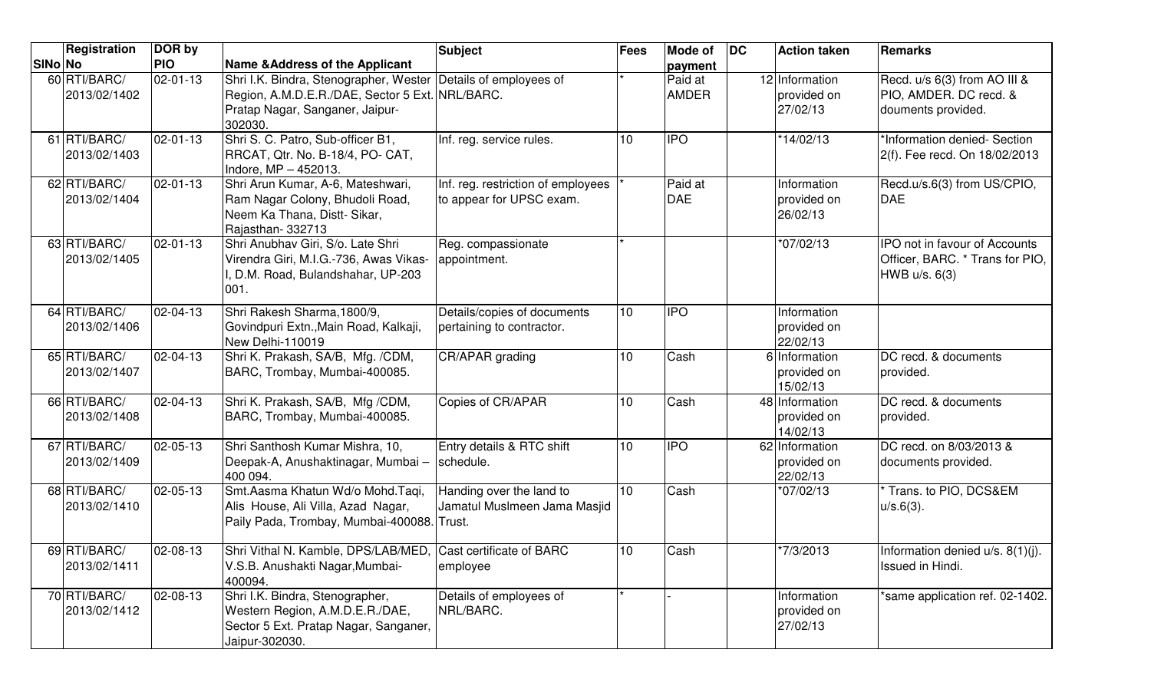|         | <b>Registration</b>          | DOR by            |                                                                                                                                                                 | <b>Subject</b>                                                 | Fees | Mode of                 | $\overline{D}$ | <b>Action taken</b>                       | <b>Remarks</b>                                                                             |
|---------|------------------------------|-------------------|-----------------------------------------------------------------------------------------------------------------------------------------------------------------|----------------------------------------------------------------|------|-------------------------|----------------|-------------------------------------------|--------------------------------------------------------------------------------------------|
| SINo No |                              | <b>PIO</b>        | <b>Name &amp; Address of the Applicant</b>                                                                                                                      |                                                                |      | payment                 |                |                                           |                                                                                            |
|         | 60 RTI/BARC/<br>2013/02/1402 | $02 - 01 - 13$    | Shri I.K. Bindra, Stenographer, Wester Details of employees of<br>Region, A.M.D.E.R./DAE, Sector 5 Ext. NRL/BARC.<br>Pratap Nagar, Sanganer, Jaipur-<br>302030. |                                                                |      | Paid at<br><b>AMDER</b> |                | 12 Information<br>provided on<br>27/02/13 | Recd. u/s 6(3) from AO III &<br>PIO, AMDER. DC recd. &<br>douments provided.               |
|         | 61 RTI/BARC/<br>2013/02/1403 | 02-01-13          | Shri S. C. Patro, Sub-officer B1,<br>RRCAT, Qtr. No. B-18/4, PO- CAT,<br>Indore, MP - 452013.                                                                   | Inf. reg. service rules.                                       | 10   | <b>IPO</b>              |                | 14/02/13                                  | *Information denied- Section<br>2(f). Fee recd. On 18/02/2013                              |
|         | 62 RTI/BARC/<br>2013/02/1404 | 02-01-13          | Shri Arun Kumar, A-6, Mateshwari,<br>Ram Nagar Colony, Bhudoli Road,<br>Neem Ka Thana, Distt- Sikar,<br>Rajasthan-332713                                        | Inf. reg. restriction of employees<br>to appear for UPSC exam. |      | Paid at<br><b>DAE</b>   |                | Information<br>provided on<br>26/02/13    | Recd.u/s.6(3) from US/CPIO,<br><b>DAE</b>                                                  |
|         | 63 RTI/BARC/<br>2013/02/1405 | 02-01-13          | Shri Anubhav Giri, S/o. Late Shri<br>Virendra Giri, M.I.G.-736, Awas Vikas-<br>D.M. Road, Bulandshahar, UP-203<br>001.                                          | Reg. compassionate<br>appointment.                             |      |                         |                | *07/02/13                                 | <b>IPO</b> not in favour of Accounts<br>Officer, BARC. * Trans for PIO,<br>HWB $u/s. 6(3)$ |
|         | 64 RTI/BARC/<br>2013/02/1406 | 02-04-13          | Shri Rakesh Sharma, 1800/9,<br>Govindpuri Extn., Main Road, Kalkaji,<br>New Delhi-110019                                                                        | Details/copies of documents<br>pertaining to contractor.       | 10   | <b>IPO</b>              |                | Information<br>provided on<br>22/02/13    |                                                                                            |
|         | 65 RTI/BARC/<br>2013/02/1407 | 02-04-13          | Shri K. Prakash, SA/B, Mfg. /CDM,<br>BARC, Trombay, Mumbai-400085.                                                                                              | CR/APAR grading                                                | 10   | Cash                    |                | 6 Information<br>provided on<br>15/02/13  | DC recd. & documents<br>provided.                                                          |
|         | 66 RTI/BARC/<br>2013/02/1408 | 02-04-13          | Shri K. Prakash, SA/B, Mfg /CDM,<br>BARC, Trombay, Mumbai-400085.                                                                                               | Copies of CR/APAR                                              | 10   | Cash                    |                | 48 Information<br>provided on<br>14/02/13 | DC recd. & documents<br>provided.                                                          |
|         | 67 RTI/BARC/<br>2013/02/1409 | $\sqrt{02-05-13}$ | Shri Santhosh Kumar Mishra, 10,<br>Deepak-A, Anushaktinagar, Mumbai-<br>400 094.                                                                                | Entry details & RTC shift<br>schedule.                         | 10   | <b>IPO</b>              |                | 62 Information<br>provided on<br>22/02/13 | DC recd. on 8/03/2013 &<br>documents provided.                                             |
|         | 68 RTI/BARC/<br>2013/02/1410 | 02-05-13          | Smt.Aasma Khatun Wd/o Mohd.Taqi,<br>Alis House, Ali Villa, Azad Nagar,<br>Paily Pada, Trombay, Mumbai-400088. Trust.                                            | Handing over the land to<br>Jamatul Muslmeen Jama Masjid       | 10   | Cash                    |                | *07/02/13                                 | * Trans. to PIO, DCS&EM<br>$u/s.6(3)$ .                                                    |
|         | 69 RTI/BARC/<br>2013/02/1411 | 02-08-13          | Shri Vithal N. Kamble, DPS/LAB/MED, Cast certificate of BARC<br>V.S.B. Anushakti Nagar, Mumbai-<br>400094.                                                      | employee                                                       | 10   | Cash                    |                | *7/3/2013                                 | Information denied u/s. 8(1)(j).<br><b>Issued in Hindi.</b>                                |
|         | 70 RTI/BARC/<br>2013/02/1412 | 02-08-13          | Shri I.K. Bindra, Stenographer,<br>Western Region, A.M.D.E.R./DAE,<br>Sector 5 Ext. Pratap Nagar, Sanganer,<br>Jaipur-302030.                                   | Details of employees of<br>NRL/BARC.                           |      |                         |                | Information<br>provided on<br>27/02/13    | same application ref. 02-1402.                                                             |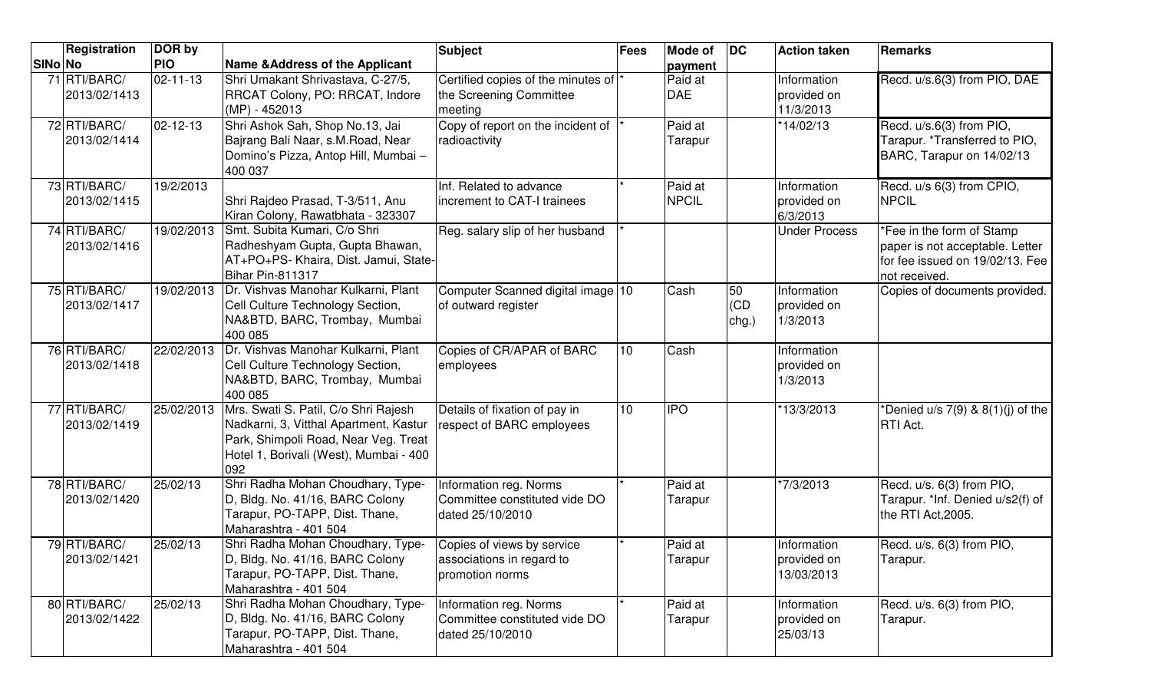|         | Registration                 | DOR by         |                                                                                                                                                                         | Subject                                                                     | Fees | <b>Mode of</b>          | <b>DC</b>           | <b>Action taken</b>                      | Remarks                                                                                                          |
|---------|------------------------------|----------------|-------------------------------------------------------------------------------------------------------------------------------------------------------------------------|-----------------------------------------------------------------------------|------|-------------------------|---------------------|------------------------------------------|------------------------------------------------------------------------------------------------------------------|
| SINo No |                              | <b>PIO</b>     | <b>Name &amp; Address of the Applicant</b>                                                                                                                              |                                                                             |      | payment                 |                     |                                          |                                                                                                                  |
|         | 71 RTI/BARC/<br>2013/02/1413 | $02 - 11 - 13$ | Shri Umakant Shrivastava, C-27/5,<br>RRCAT Colony, PO: RRCAT, Indore<br>$(MP) - 452013$                                                                                 | Certified copies of the minutes of<br>the Screening Committee<br>meeting    |      | Paid at<br><b>DAE</b>   |                     | Information<br>provided on<br>11/3/2013  | Recd. u/s.6(3) from PIO, DAE                                                                                     |
|         | 72 RTI/BARC/<br>2013/02/1414 | 02-12-13       | Shri Ashok Sah, Shop No.13, Jai<br>Bajrang Bali Naar, s.M.Road, Near<br>Domino's Pizza, Antop Hill, Mumbai –<br>400 037                                                 | Copy of report on the incident of<br>radioactivity                          |      | Paid at<br>Tarapur      |                     | 14/02/13                                 | Recd. u/s.6(3) from PIO,<br>Tarapur. *Transferred to PIO,<br>BARC, Tarapur on 14/02/13                           |
|         | 73 RTI/BARC/<br>2013/02/1415 | 19/2/2013      | Shri Rajdeo Prasad, T-3/511, Anu<br>Kiran Colony, Rawatbhata - 323307                                                                                                   | Inf. Related to advance<br>increment to CAT-I trainees                      |      | Paid at<br><b>NPCIL</b> |                     | Information<br>provided on<br>6/3/2013   | Recd. u/s 6(3) from CPIO,<br><b>NPCIL</b>                                                                        |
|         | 74 RTI/BARC/<br>2013/02/1416 | 19/02/2013     | Smt. Subita Kumari, C/o Shri<br>Radheshyam Gupta, Gupta Bhawan,<br>AT+PO+PS- Khaira, Dist. Jamui, State-<br>Bihar Pin-811317                                            | Reg. salary slip of her husband                                             |      |                         |                     | <b>Under Process</b>                     | *Fee in the form of Stamp<br>paper is not acceptable. Letter<br>for fee issued on 19/02/13. Fee<br>not received. |
|         | 75 RTI/BARC/<br>2013/02/1417 | 19/02/2013     | Dr. Vishvas Manohar Kulkarni, Plant<br>Cell Culture Technology Section,<br>NA&BTD, BARC, Trombay, Mumbai<br>400 085                                                     | Computer Scanned digital image 10<br>of outward register                    |      | Cash                    | 50<br>(CD)<br>chg.) | Information<br>provided on<br>1/3/2013   | Copies of documents provided.                                                                                    |
|         | 76 RTI/BARC/<br>2013/02/1418 | 22/02/2013     | Dr. Vishvas Manohar Kulkarni, Plant<br>Cell Culture Technology Section,<br>NA&BTD, BARC, Trombay, Mumbai<br>400 085                                                     | Copies of CR/APAR of BARC<br>employees                                      | 10   | Cash                    |                     | Information<br>provided on<br>1/3/2013   |                                                                                                                  |
|         | 77 RTI/BARC/<br>2013/02/1419 | 25/02/2013     | Mrs. Swati S. Patil, C/o Shri Rajesh<br>Nadkarni, 3, Vitthal Apartment, Kastur<br>Park, Shimpoli Road, Near Veg. Treat<br>Hotel 1, Borivali (West), Mumbai - 400<br>092 | Details of fixation of pay in<br>respect of BARC employees                  | 10   | <b>IPO</b>              |                     | 13/3/2013                                | *Denied u/s 7(9) & 8(1)(j) of the<br><b>RTI Act.</b>                                                             |
|         | 78 RTI/BARC/<br>2013/02/1420 | 25/02/13       | Shri Radha Mohan Choudhary, Type-<br>D, Bldg. No. 41/16, BARC Colony<br>Tarapur, PO-TAPP, Dist. Thane,<br>Maharashtra - 401 504                                         | Information reg. Norms<br>Committee constituted vide DO<br>dated 25/10/2010 |      | Paid at<br>Tarapur      |                     | *7/3/2013                                | Recd. u/s. 6(3) from PIO,<br>Tarapur. *Inf. Denied u/s2(f) of<br>the RTI Act, 2005.                              |
|         | 79 RTI/BARC/<br>2013/02/1421 | 25/02/13       | Shri Radha Mohan Choudhary, Type-<br>D, Bldg. No. 41/16, BARC Colony<br>Tarapur, PO-TAPP, Dist. Thane,<br>Maharashtra - 401 504                                         | Copies of views by service<br>associations in regard to<br>promotion norms  |      | Paid at<br>Tarapur      |                     | Information<br>provided on<br>13/03/2013 | Recd. u/s. 6(3) from PIO,<br>Tarapur.                                                                            |
|         | 80 RTI/BARC/<br>2013/02/1422 | 25/02/13       | Shri Radha Mohan Choudhary, Type-<br>D, Bldg. No. 41/16, BARC Colony<br>Tarapur, PO-TAPP, Dist. Thane,<br>Maharashtra - 401 504                                         | Information reg. Norms<br>Committee constituted vide DO<br>dated 25/10/2010 |      | Paid at<br>Tarapur      |                     | Information<br>provided on<br>25/03/13   | Recd. u/s. 6(3) from PIO,<br>Tarapur.                                                                            |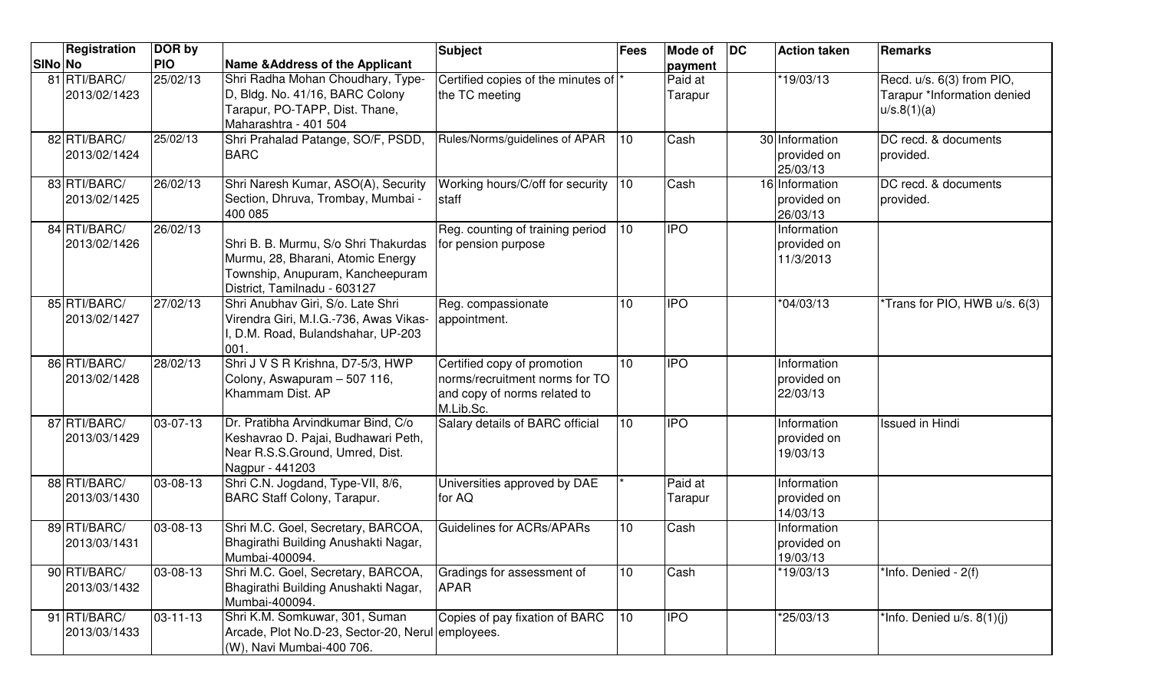|         | Registration                 | DOR by     |                                                                                                                                               | <b>Subject</b>                                                                                             | Fees            | Mode of            | DC | <b>Action taken</b>                       | <b>Remarks</b>                                                          |
|---------|------------------------------|------------|-----------------------------------------------------------------------------------------------------------------------------------------------|------------------------------------------------------------------------------------------------------------|-----------------|--------------------|----|-------------------------------------------|-------------------------------------------------------------------------|
| SINo No |                              | <b>PIO</b> | <b>Name &amp; Address of the Applicant</b>                                                                                                    |                                                                                                            |                 | payment            |    |                                           |                                                                         |
|         | 81 RTI/BARC/<br>2013/02/1423 | 25/02/13   | Shri Radha Mohan Choudhary, Type-<br>D, Bldg. No. 41/16, BARC Colony<br>Tarapur, PO-TAPP, Dist. Thane,<br>Maharashtra - 401 504               | Certified copies of the minutes of<br>the TC meeting                                                       |                 | Paid at<br>Tarapur |    | 19/03/13                                  | Recd. u/s. 6(3) from PIO,<br>Tarapur *Information denied<br>u/s.8(1)(a) |
|         | 82 RTI/BARC/<br>2013/02/1424 | 25/02/13   | Shri Prahalad Patange, SO/F, PSDD,<br><b>BARC</b>                                                                                             | Rules/Norms/guidelines of APAR                                                                             | $\vert$ 10      | Cash               |    | 30 Information<br>provided on<br>25/03/13 | DC recd. & documents<br>provided.                                       |
|         | 83 RTI/BARC/<br>2013/02/1425 | 26/02/13   | Shri Naresh Kumar, ASO(A), Security<br>Section, Dhruva, Trombay, Mumbai -<br>400 085                                                          | Working hours/C/off for security 10<br>staff                                                               |                 | Cash               |    | 16 Information<br>provided on<br>26/03/13 | DC recd. & documents<br>provided.                                       |
|         | 84 RTI/BARC/<br>2013/02/1426 | 26/02/13   | Shri B. B. Murmu, S/o Shri Thakurdas<br>Murmu, 28, Bharani, Atomic Energy<br>Township, Anupuram, Kancheepuram<br>District, Tamilnadu - 603127 | Reg. counting of training period<br>for pension purpose                                                    | $\vert$ 10      | <b>IPO</b>         |    | Information<br>provided on<br>11/3/2013   |                                                                         |
|         | 85 RTI/BARC/<br>2013/02/1427 | 27/02/13   | Shri Anubhav Giri, S/o. Late Shri<br>Virendra Giri, M.I.G.-736, Awas Vikas-<br>D.M. Road, Bulandshahar, UP-203<br>001.                        | Reg. compassionate<br>appointment.                                                                         | 10              | <b>IPO</b>         |    | $*04/03/13$                               | *Trans for PIO, HWB u/s. 6(3)                                           |
|         | 86 RTI/BARC/<br>2013/02/1428 | 28/02/13   | Shri J V S R Krishna, D7-5/3, HWP<br>Colony, Aswapuram - 507 116,<br>Khammam Dist. AP                                                         | Certified copy of promotion<br>norms/recruitment norms for TO<br>and copy of norms related to<br>M.Lib.Sc. | 10              | <b>IPO</b>         |    | Information<br>provided on<br>22/03/13    |                                                                         |
|         | 87 RTI/BARC/<br>2013/03/1429 | 03-07-13   | Dr. Pratibha Arvindkumar Bind, C/o<br>Keshavrao D. Pajai, Budhawari Peth,<br>Near R.S.S.Ground, Umred, Dist.<br>Nagpur - 441203               | Salary details of BARC official                                                                            | 10              | <b>IPO</b>         |    | Information<br>provided on<br>19/03/13    | <b>Issued in Hindi</b>                                                  |
|         | 88 RTI/BARC/<br>2013/03/1430 | 03-08-13   | Shri C.N. Jogdand, Type-VII, 8/6,<br><b>BARC Staff Colony, Tarapur.</b>                                                                       | Universities approved by DAE<br>for AQ                                                                     |                 | Paid at<br>Tarapur |    | Information<br>provided on<br>14/03/13    |                                                                         |
|         | 89RTI/BARC/<br>2013/03/1431  | 03-08-13   | Shri M.C. Goel, Secretary, BARCOA,<br>Bhagirathi Building Anushakti Nagar,<br>Mumbai-400094.                                                  | Guidelines for ACRs/APARs                                                                                  | 10 <sup>1</sup> | Cash               |    | Information<br>provided on<br>19/03/13    |                                                                         |
|         | 90 RTI/BARC/<br>2013/03/1432 | 03-08-13   | Shri M.C. Goel, Secretary, BARCOA,<br>Bhagirathi Building Anushakti Nagar,<br>Mumbai-400094.                                                  | Gradings for assessment of<br><b>APAR</b>                                                                  | 10 <sup>1</sup> | Cash               |    | 19/03/13                                  | *Info. Denied - 2(f)                                                    |
|         | 91 RTI/BARC/<br>2013/03/1433 | 03-11-13   | Shri K.M. Somkuwar, 301, Suman<br>Arcade, Plot No.D-23, Sector-20, Nerul employees.<br>(W), Navi Mumbai-400 706.                              | Copies of pay fixation of BARC                                                                             | 10              | <b>IPO</b>         |    | *25/03/13                                 | *Info. Denied u/s. 8(1)(j)                                              |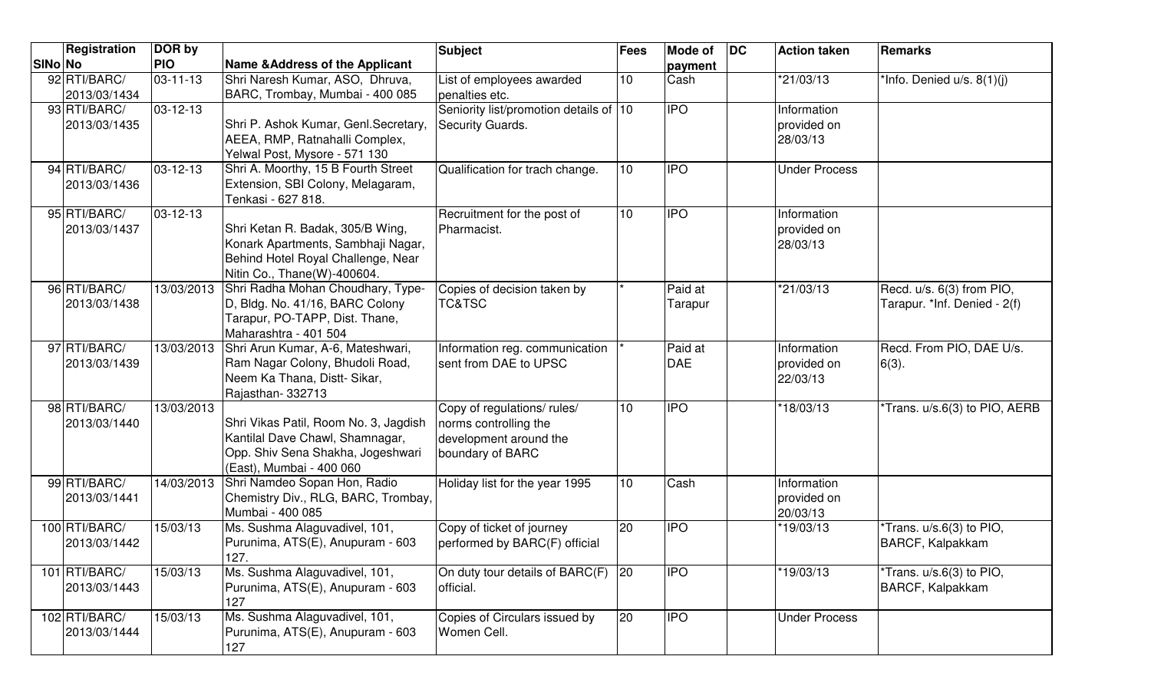|         | Registration                           | DOR by         |                                                                                                                                             | <b>Subject</b>                                                                                     | Fees | <b>Mode of</b>        | $\overline{D}$ | <b>Action taken</b>                    | Remarks                                                   |
|---------|----------------------------------------|----------------|---------------------------------------------------------------------------------------------------------------------------------------------|----------------------------------------------------------------------------------------------------|------|-----------------------|----------------|----------------------------------------|-----------------------------------------------------------|
| SINo No |                                        | <b>PIO</b>     | <b>Name &amp; Address of the Applicant</b>                                                                                                  |                                                                                                    |      | payment               |                |                                        |                                                           |
|         | 92 RTI/BARC/                           | $03 - 11 - 13$ | Shri Naresh Kumar, ASO, Dhruva,                                                                                                             | List of employees awarded                                                                          | 10   | Cash                  |                | *21/03/13                              | $\overline{I}$ Info. Denied u/s. 8(1)(j)                  |
|         | 2013/03/1434                           |                | BARC, Trombay, Mumbai - 400 085                                                                                                             | penalties etc.                                                                                     |      |                       |                |                                        |                                                           |
|         | 93 RTI/BARC/<br>2013/03/1435           | 03-12-13       | Shri P. Ashok Kumar, Genl.Secretary,<br>AEEA, RMP, Ratnahalli Complex,<br>Yelwal Post, Mysore - 571 130                                     | Seniority list/promotion details of 10<br>Security Guards.                                         |      | <b>IPO</b>            |                | Information<br>provided on<br>28/03/13 |                                                           |
|         | 94 RTI/BARC/<br>2013/03/1436           | 03-12-13       | Shri A. Moorthy, 15 B Fourth Street<br>Extension, SBI Colony, Melagaram,<br>Tenkasi - 627 818.                                              | Qualification for trach change.                                                                    | 10   | <b>IPO</b>            |                | <b>Under Process</b>                   |                                                           |
|         | 95 RTI/BARC/<br>2013/03/1437           | $03-12-13$     | Shri Ketan R. Badak, 305/B Wing,<br>Konark Apartments, Sambhaji Nagar,<br>Behind Hotel Royal Challenge, Near<br>Nitin Co., Thane(W)-400604. | Recruitment for the post of<br>Pharmacist.                                                         | 10   | <b>IPO</b>            |                | Information<br>provided on<br>28/03/13 |                                                           |
|         | 96 RTI/BARC/<br>2013/03/1438           | 13/03/2013     | Shri Radha Mohan Choudhary, Type-<br>D, Bldg. No. 41/16, BARC Colony<br>Tarapur, PO-TAPP, Dist. Thane,<br>Maharashtra - 401 504             | Copies of decision taken by<br><b>TC&amp;TSC</b>                                                   |      | Paid at<br>Tarapur    |                | *21/03/13                              | Recd. u/s. 6(3) from PIO,<br>Tarapur. *Inf. Denied - 2(f) |
|         | 97 RTI/BARC/<br>2013/03/1439           | 13/03/2013     | Shri Arun Kumar, A-6, Mateshwari,<br>Ram Nagar Colony, Bhudoli Road,<br>Neem Ka Thana, Distt- Sikar,<br>Rajasthan-332713                    | Information reg. communication<br>sent from DAE to UPSC                                            |      | Paid at<br><b>DAE</b> |                | Information<br>provided on<br>22/03/13 | Recd. From PIO, DAE U/s.<br>$6(3)$ .                      |
|         | 98 RTI/BARC/<br>2013/03/1440           | 13/03/2013     | Shri Vikas Patil, Room No. 3, Jagdish<br>Kantilal Dave Chawl, Shamnagar,<br>Opp. Shiv Sena Shakha, Jogeshwari<br>(East), Mumbai - 400 060   | Copy of regulations/ rules/<br>norms controlling the<br>development around the<br>boundary of BARC | 10   | <b>IPO</b>            |                | *18/03/13                              | *Trans. u/s.6(3) to PIO, AERB                             |
|         | 99 RTI/BARC/<br>2013/03/1441           | 14/03/2013     | Shri Namdeo Sopan Hon, Radio<br>Chemistry Div., RLG, BARC, Trombay,<br>Mumbai - 400 085                                                     | Holiday list for the year 1995                                                                     | 10   | Cash                  |                | Information<br>provided on<br>20/03/13 |                                                           |
|         | 100 RTI/BARC/<br>2013/03/1442          | 15/03/13       | Ms. Sushma Alaguvadivel, 101,<br>Purunima, ATS(E), Anupuram - 603<br>127.                                                                   | Copy of ticket of journey<br>performed by BARC(F) official                                         | 20   | $\overline{IPO}$      |                | 19/03/13                               | Trans. u/s.6(3) to PIO,<br><b>BARCF, Kalpakkam</b>        |
|         | 101 RTI/BARC/<br>2013/03/1443          | 15/03/13       | Ms. Sushma Alaguvadivel, 101,<br>Purunima, ATS(E), Anupuram - 603<br>127                                                                    | On duty tour details of BARC(F) 20<br>official.                                                    |      | <b>IPO</b>            |                | *19/03/13                              | Trans. u/s.6(3) to PIO,<br><b>BARCF, Kalpakkam</b>        |
|         | $102$ <b>RTI/BARC/</b><br>2013/03/1444 | 15/03/13       | Ms. Sushma Alaguvadivel, 101,<br>Purunima, ATS(E), Anupuram - 603<br>127                                                                    | Copies of Circulars issued by<br>Women Cell.                                                       | 20   | <b>IPO</b>            |                | <b>Under Process</b>                   |                                                           |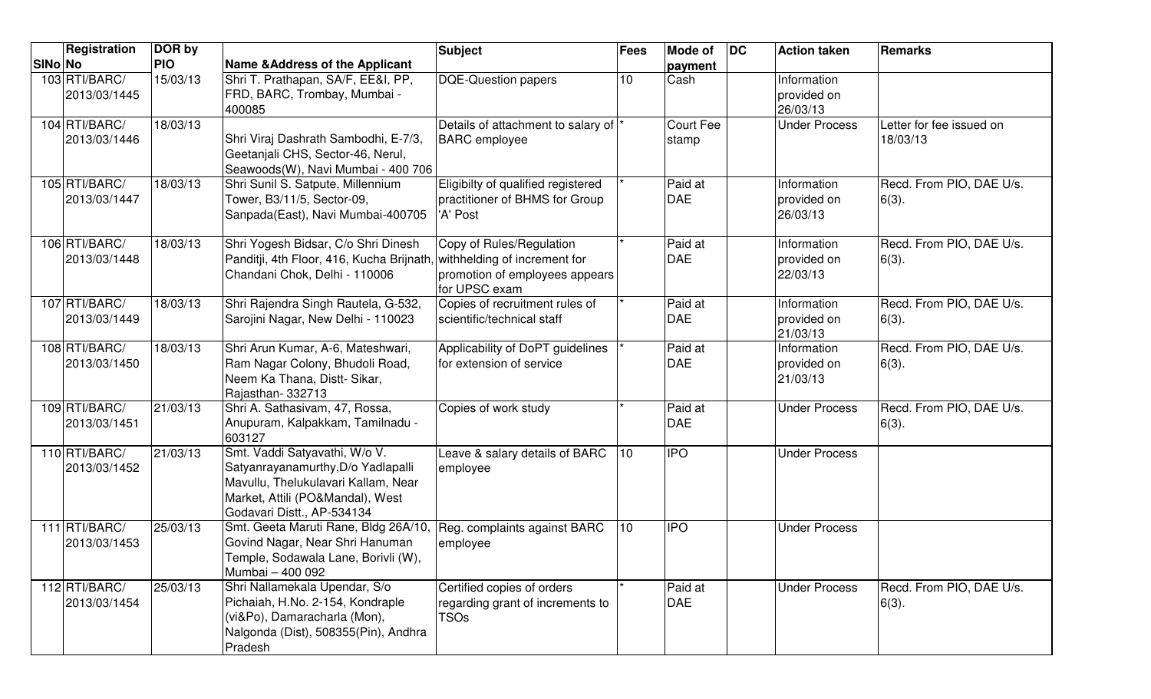|         | Registration                  | DOR by     |                                                                                                                                                                              | <b>Subject</b>                                                                   | <b>Fees</b>     | <b>Mode of</b>            | $\overline{D}$ | <b>Action taken</b>                    | <b>Remarks</b>                       |
|---------|-------------------------------|------------|------------------------------------------------------------------------------------------------------------------------------------------------------------------------------|----------------------------------------------------------------------------------|-----------------|---------------------------|----------------|----------------------------------------|--------------------------------------|
| SINo No |                               | <b>PIO</b> | Name & Address of the Applicant                                                                                                                                              |                                                                                  |                 | payment                   |                |                                        |                                      |
|         | 103RTI/BARC/<br>2013/03/1445  | 15/03/13   | Shri T. Prathapan, SA/F, EE&I, PP,<br>FRD, BARC, Trombay, Mumbai -<br>400085                                                                                                 | <b>DQE-Question papers</b>                                                       | 10 <sup>1</sup> | Cash                      |                | Information<br>provided on<br>26/03/13 |                                      |
|         | 104 RTI/BARC/<br>2013/03/1446 | 18/03/13   | Shri Viraj Dashrath Sambodhi, E-7/3,<br>Geetanjali CHS, Sector-46, Nerul,<br>Seawoods(W), Navi Mumbai - 400 706                                                              | Details of attachment to salary of<br><b>BARC</b> employee                       |                 | <b>Court Fee</b><br>stamp |                | <b>Under Process</b>                   | Letter for fee issued on<br>18/03/13 |
|         | 105 RTI/BARC/<br>2013/03/1447 | 18/03/13   | Shri Sunil S. Satpute, Millennium<br>Tower, B3/11/5, Sector-09,<br>Sanpada(East), Navi Mumbai-400705                                                                         | Eligibilty of qualified registered<br>practitioner of BHMS for Group<br>'A' Post |                 | Paid at<br><b>DAE</b>     |                | Information<br>provided on<br>26/03/13 | Recd. From PIO, DAE U/s.<br>$6(3)$ . |
|         | 106 RTI/BARC/<br>2013/03/1448 | 18/03/13   | Shri Yogesh Bidsar, C/o Shri Dinesh<br>Panditji, 4th Floor, 416, Kucha Brijnath, withhelding of increment for<br>Chandani Chok, Delhi - 110006                               | Copy of Rules/Regulation<br>promotion of employees appears<br>for UPSC exam      |                 | Paid at<br><b>DAE</b>     |                | Information<br>provided on<br>22/03/13 | Recd. From PIO, DAE U/s.<br>$6(3)$ . |
|         | 107RTI/BARC/<br>2013/03/1449  | 18/03/13   | Shri Rajendra Singh Rautela, G-532,<br>Sarojini Nagar, New Delhi - 110023                                                                                                    | Copies of recruitment rules of<br>scientific/technical staff                     |                 | Paid at<br><b>DAE</b>     |                | Information<br>provided on<br>21/03/13 | Recd. From PIO, DAE U/s.<br>$6(3)$ . |
|         | 108 RTI/BARC/<br>2013/03/1450 | 18/03/13   | Shri Arun Kumar, A-6, Mateshwari,<br>Ram Nagar Colony, Bhudoli Road,<br>Neem Ka Thana, Distt- Sikar,<br>Rajasthan-332713                                                     | Applicability of DoPT guidelines<br>for extension of service                     |                 | Paid at<br><b>DAE</b>     |                | Information<br>provided on<br>21/03/13 | Recd. From PIO, DAE U/s.<br>$6(3)$ . |
|         | 109 RTI/BARC/<br>2013/03/1451 | 21/03/13   | Shri A. Sathasivam, 47, Rossa,<br>Anupuram, Kalpakkam, Tamilnadu -<br>603127                                                                                                 | Copies of work study                                                             |                 | Paid at<br><b>DAE</b>     |                | <b>Under Process</b>                   | Recd. From PIO, DAE U/s.<br>$6(3)$ . |
|         | 110RTI/BARC/<br>2013/03/1452  | 21/03/13   | Smt. Vaddi Satyavathi, W/o V.<br>Satyanrayanamurthy, D/o Yadlapalli<br>Mavullu, Thelukulavari Kallam, Near<br>Market, Attili (PO&Mandal), West<br>Godavari Distt., AP-534134 | Leave & salary details of BARC<br>employee                                       | 10 <sup>1</sup> | <b>IPO</b>                |                | <b>Under Process</b>                   |                                      |
|         | 111 RTI/BARC/<br>2013/03/1453 | 25/03/13   | Smt. Geeta Maruti Rane, Bldg 26A/10<br>Govind Nagar, Near Shri Hanuman<br>Femple, Sodawala Lane, Borivli (W),<br>Mumbai - 400 092                                            | Reg. complaints against BARC<br>employee                                         | 10 <sup>1</sup> | <b>IPO</b>                |                | <b>Under Process</b>                   |                                      |
|         | 112 RTI/BARC/<br>2013/03/1454 | 25/03/13   | Shri Nallamekala Upendar, S/o<br>Pichaiah, H.No. 2-154, Kondraple<br>(vi&Po), Damaracharla (Mon),<br>Nalgonda (Dist), 508355(Pin), Andhra<br>Pradesh                         | Certified copies of orders<br>regarding grant of increments to<br><b>TSOs</b>    |                 | Paid at<br><b>DAE</b>     |                | <b>Under Process</b>                   | Recd. From PIO, DAE U/s.<br>$6(3)$ . |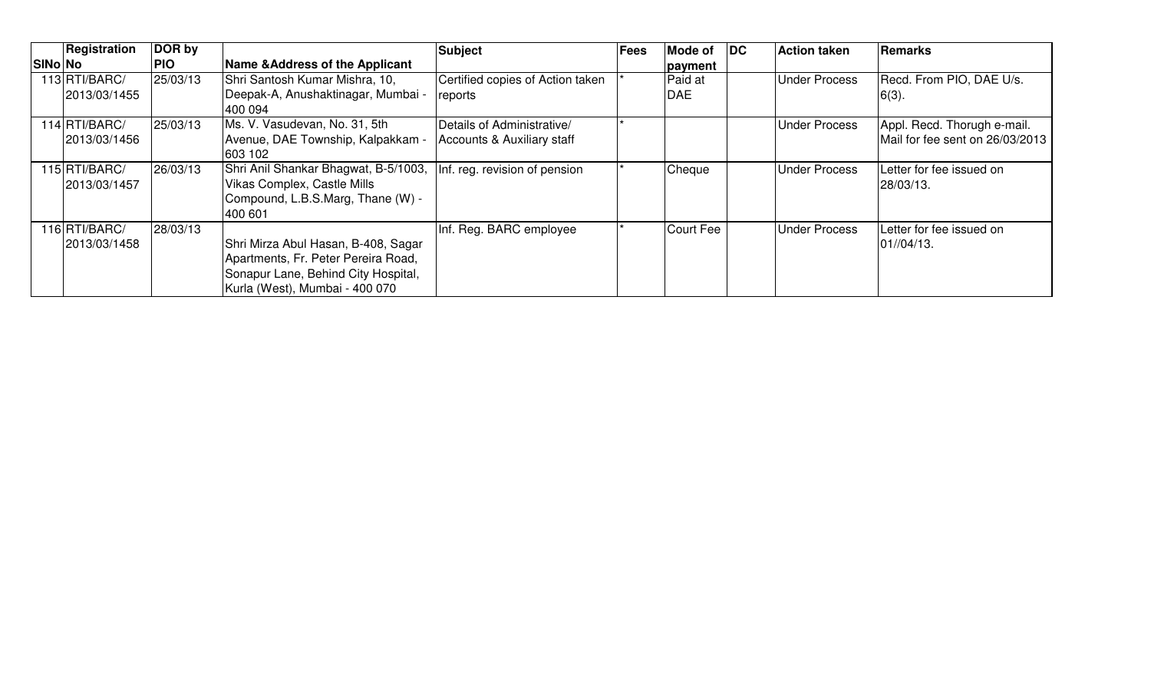|                | Registration  | DOR by     |                                      | <b>Subject</b>                   | Fees | Mode of    | <b>IDC</b> | <b>Action taken</b>  | <b>Remarks</b>                  |
|----------------|---------------|------------|--------------------------------------|----------------------------------|------|------------|------------|----------------------|---------------------------------|
| <b>SINo No</b> |               | <b>PIO</b> | Name & Address of the Applicant      |                                  |      | payment    |            |                      |                                 |
|                | 113 RTI/BARC/ | 25/03/13   | Shri Santosh Kumar Mishra, 10,       | Certified copies of Action taken |      | Paid at    |            | <b>Under Process</b> | Recd. From PIO, DAE U/s.        |
|                | 2013/03/1455  |            | Deepak-A, Anushaktinagar, Mumbai -   | reports                          |      | <b>DAE</b> |            |                      | $6(3)$ .                        |
|                |               |            | 400 094                              |                                  |      |            |            |                      |                                 |
|                | 114 RTI/BARC/ | 25/03/13   | Ms. V. Vasudevan, No. 31, 5th        | Details of Administrative/       |      |            |            | <b>Under Process</b> | Appl. Recd. Thorugh e-mail.     |
|                | 2013/03/1456  |            | Avenue, DAE Township, Kalpakkam -    | Accounts & Auxiliary staff       |      |            |            |                      | Mail for fee sent on 26/03/2013 |
|                |               |            | 603 102                              |                                  |      |            |            |                      |                                 |
|                | 115 RTI/BARC/ | 26/03/13   | Shri Anil Shankar Bhagwat, B-5/1003, | Inf. reg. revision of pension    |      | Cheque     |            | <b>Under Process</b> | Letter for fee issued on        |
|                | 2013/03/1457  |            | Vikas Complex, Castle Mills          |                                  |      |            |            |                      | 28/03/13.                       |
|                |               |            | Compound, L.B.S.Marg, Thane (W) -    |                                  |      |            |            |                      |                                 |
|                |               |            | 400 601                              |                                  |      |            |            |                      |                                 |
|                | 116 RTI/BARC/ | 28/03/13   |                                      | Inf. Reg. BARC employee          |      | Court Fee  |            | <b>Under Process</b> | Letter for fee issued on        |
|                | 2013/03/1458  |            | Shri Mirza Abul Hasan, B-408, Sagar  |                                  |      |            |            |                      | 01/04/13.                       |
|                |               |            | Apartments, Fr. Peter Pereira Road,  |                                  |      |            |            |                      |                                 |
|                |               |            | Sonapur Lane, Behind City Hospital,  |                                  |      |            |            |                      |                                 |
|                |               |            | Kurla (West), Mumbai - 400 070       |                                  |      |            |            |                      |                                 |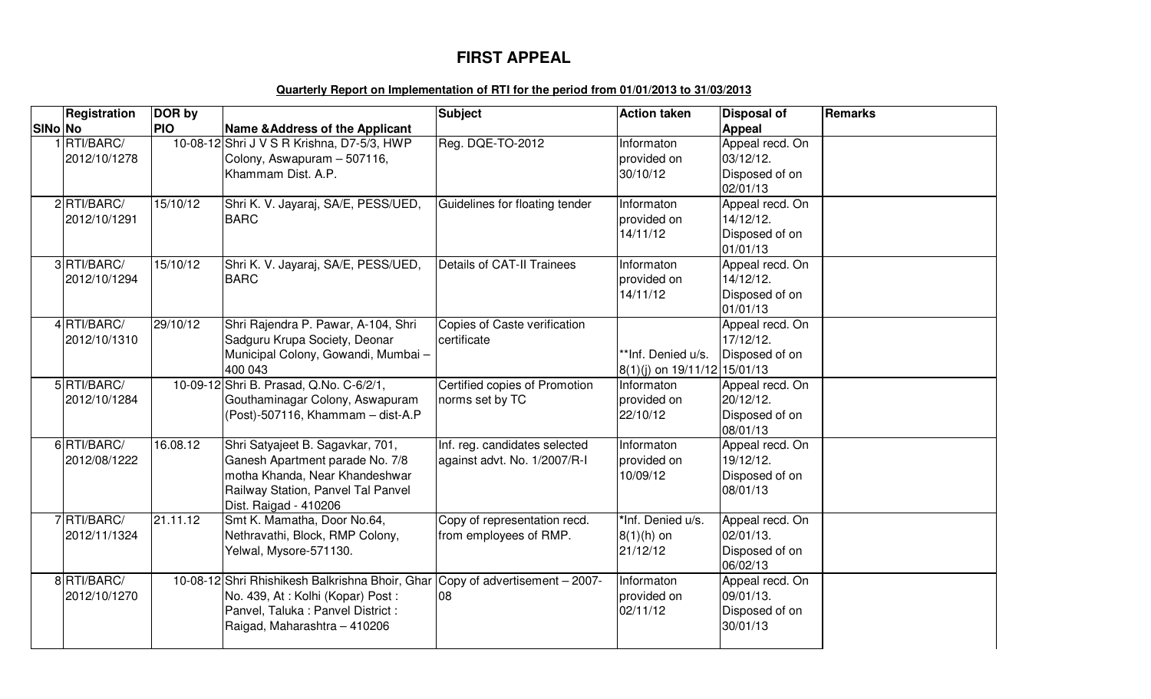# **FIRST APPEAL**

#### **Quarterly Report on Implementation of RTI for the period from 01/01/2013 to 31/03/2013**

|                | Registration                  | DOR by     |                                                                                                                                                                      | Subject                                                       | <b>Action taken</b>                                | <b>Disposal of</b>                                            | Remarks |
|----------------|-------------------------------|------------|----------------------------------------------------------------------------------------------------------------------------------------------------------------------|---------------------------------------------------------------|----------------------------------------------------|---------------------------------------------------------------|---------|
| <b>SINo No</b> |                               | <b>PIO</b> | <b>Name &amp; Address of the Applicant</b>                                                                                                                           |                                                               |                                                    | <b>Appeal</b>                                                 |         |
|                | 1RTI/BARC/<br>2012/10/1278    |            | 10-08-12 Shri J V S R Krishna, D7-5/3, HWP<br>Colony, Aswapuram - 507116,<br>Khammam Dist, A.P.                                                                      | Reg. DQE-TO-2012                                              | Informaton<br>provided on<br>30/10/12              | Appeal recd. On<br>$03/12/12$ .<br>Disposed of on<br>02/01/13 |         |
|                | $2$ RTI/BARC/<br>2012/10/1291 | 15/10/12   | Shri K. V. Jayaraj, SA/E, PESS/UED,<br><b>BARC</b>                                                                                                                   | Guidelines for floating tender                                | Informaton<br>provided on<br>14/11/12              | Appeal recd. On<br>14/12/12.<br>Disposed of on<br>01/01/13    |         |
|                | 3RTI/BARC/<br>2012/10/1294    | 15/10/12   | Shri K. V. Jayaraj, SA/E, PESS/UED,<br><b>BARC</b>                                                                                                                   | Details of CAT-II Trainees                                    | Informaton<br>provided on<br>14/11/12              | Appeal recd. On<br>14/12/12.<br>Disposed of on<br>01/01/13    |         |
|                | 4RTI/BARC/<br>2012/10/1310    | 29/10/12   | Shri Rajendra P. Pawar, A-104, Shri<br>Sadguru Krupa Society, Deonar<br>Municipal Colony, Gowandi, Mumbai -<br>400 043                                               | Copies of Caste verification<br>certificate                   | **Inf. Denied u/s.<br>8(1)(j) on 19/11/12 15/01/13 | Appeal recd. On<br>17/12/12.<br>Disposed of on                |         |
|                | 5RTI/BARC/<br>2012/10/1284    |            | 10-09-12 Shri B. Prasad, Q.No. C-6/2/1,<br>Gouthaminagar Colony, Aswapuram<br>(Post)-507116, Khammam - dist-A.P                                                      | Certified copies of Promotion<br>norms set by TC              | Informaton<br>provided on<br>22/10/12              | Appeal recd. On<br>$20/12/12$ .<br>Disposed of on<br>08/01/13 |         |
|                | 6 RTI/BARC/<br>2012/08/1222   | 16.08.12   | Shri Satyajeet B. Sagavkar, 701,<br>Ganesh Apartment parade No. 7/8<br>motha Khanda, Near Khandeshwar<br>Railway Station, Panvel Tal Panvel<br>Dist. Raigad - 410206 | Inf. reg. candidates selected<br>against advt. No. 1/2007/R-I | Informaton<br>provided on<br>10/09/12              | Appeal recd. On<br>19/12/12.<br>Disposed of on<br>08/01/13    |         |
|                | 7 RTI/BARC/<br>2012/11/1324   | 21.11.12   | Smt K. Mamatha, Door No.64,<br>Nethravathi, Block, RMP Colony,<br>Yelwal, Mysore-571130.                                                                             | Copy of representation recd.<br>from employees of RMP.        | *Inf. Denied u/s.<br>$8(1)(h)$ on<br>21/12/12      | Appeal recd. On<br>02/01/13.<br>Disposed of on<br>06/02/13    |         |
|                | 8RTI/BARC/<br>2012/10/1270    |            | 10-08-12 Shri Rhishikesh Balkrishna Bhoir, Ghar<br>No. 439, At: Kolhi (Kopar) Post:<br>Panvel, Taluka : Panvel District :<br>Raigad, Maharashtra - 410206            | Copy of advertisement - 2007-<br>08                           | Informaton<br>provided on<br>02/11/12              | Appeal recd. On<br>09/01/13.<br>Disposed of on<br>30/01/13    |         |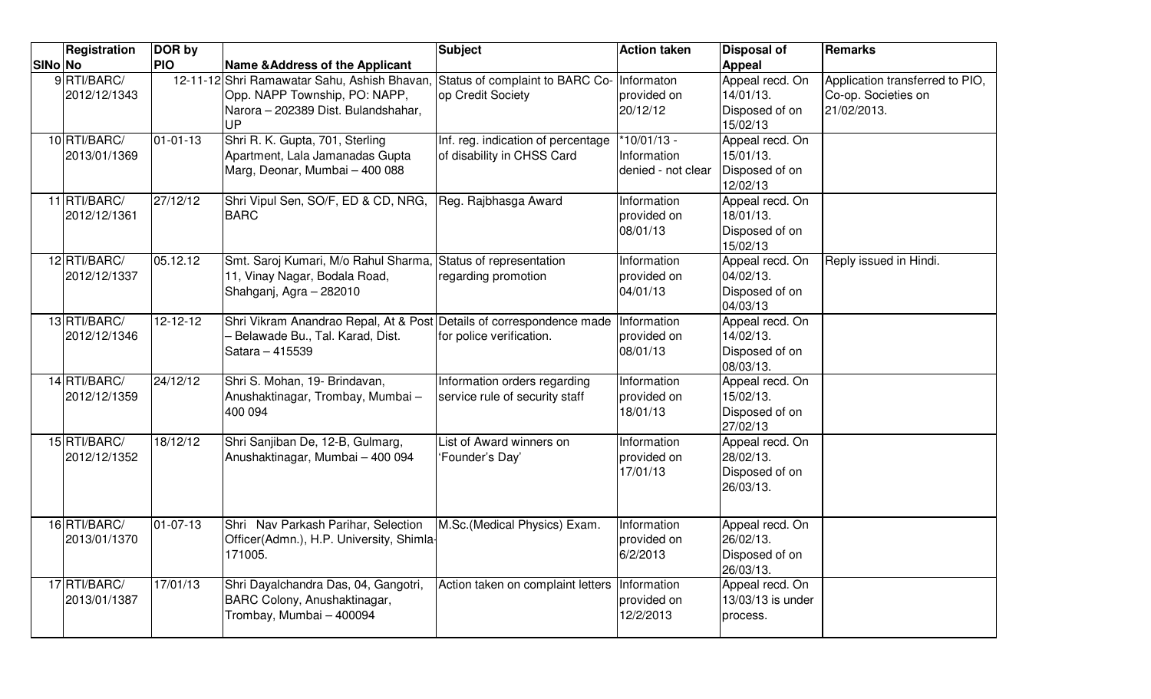|         | Registration                 | <b>DOR</b> by  |                                                                                                                              | <b>Subject</b>                                                   | <b>Action taken</b>                                | Disposal of                                                 | Remarks                                                               |
|---------|------------------------------|----------------|------------------------------------------------------------------------------------------------------------------------------|------------------------------------------------------------------|----------------------------------------------------|-------------------------------------------------------------|-----------------------------------------------------------------------|
| SINo No |                              | <b>PIO</b>     | Name & Address of the Applicant                                                                                              |                                                                  |                                                    | <b>Appeal</b>                                               |                                                                       |
|         | 9RTI/BARC/<br>2012/12/1343   |                | 12-11-12 Shri Ramawatar Sahu, Ashish Bhavan,<br>Opp. NAPP Township, PO: NAPP,<br>Narora - 202389 Dist. Bulandshahar,<br>UP   | Status of complaint to BARC Co- Informaton<br>op Credit Society  | provided on<br>20/12/12                            | Appeal recd. On<br>14/01/13.<br>Disposed of on<br>15/02/13  | Application transferred to PIO,<br>Co-op. Societies on<br>21/02/2013. |
|         | 10 RTI/BARC/<br>2013/01/1369 | $01 - 01 - 13$ | Shri R. K. Gupta, 701, Sterling<br>Apartment, Lala Jamanadas Gupta<br>Marg, Deonar, Mumbai - 400 088                         | Inf. reg. indication of percentage<br>of disability in CHSS Card | $*10/01/13 -$<br>Information<br>denied - not clear | Appeal recd. On<br>15/01/13.<br>Disposed of on<br>12/02/13  |                                                                       |
|         | 11 RTI/BARC/<br>2012/12/1361 | 27/12/12       | Shri Vipul Sen, SO/F, ED & CD, NRG,<br><b>BARC</b>                                                                           | Reg. Rajbhasga Award                                             | Information<br>provided on<br>08/01/13             | Appeal recd. On<br>18/01/13.<br>Disposed of on<br>15/02/13  |                                                                       |
|         | 12 RTI/BARC/<br>2012/12/1337 | 05.12.12       | Smt. Saroj Kumari, M/o Rahul Sharma, Status of representation<br>11, Vinay Nagar, Bodala Road,<br>Shahganj, Agra - 282010    | regarding promotion                                              | Information<br>provided on<br>04/01/13             | Appeal recd. On<br>04/02/13.<br>Disposed of on<br>04/03/13  | Reply issued in Hindi.                                                |
|         | 13 RTI/BARC/<br>2012/12/1346 | $12 - 12 - 12$ | Shri Vikram Anandrao Repal, At & Post Details of correspondence made<br>- Belawade Bu., Tal. Karad, Dist.<br>Satara - 415539 | for police verification.                                         | Information<br>provided on<br>08/01/13             | Appeal recd. On<br>14/02/13.<br>Disposed of on<br>08/03/13. |                                                                       |
|         | 14 RTI/BARC/<br>2012/12/1359 | 24/12/12       | Shri S. Mohan, 19- Brindavan,<br>Anushaktinagar, Trombay, Mumbai-<br>400 094                                                 | Information orders regarding<br>service rule of security staff   | Information<br>provided on<br>18/01/13             | Appeal recd. On<br>15/02/13.<br>Disposed of on<br>27/02/13  |                                                                       |
|         | 15 RTI/BARC/<br>2012/12/1352 | 18/12/12       | Shri Sanjiban De, 12-B, Gulmarg,<br>Anushaktinagar, Mumbai - 400 094                                                         | List of Award winners on<br>'Founder's Day'                      | Information<br>provided on<br>17/01/13             | Appeal recd. On<br>28/02/13.<br>Disposed of on<br>26/03/13. |                                                                       |
|         | 16 RTI/BARC/<br>2013/01/1370 | $01 - 07 - 13$ | Shri Nav Parkash Parihar, Selection<br>Officer(Admn.), H.P. University, Shimla-<br>171005.                                   | M.Sc. (Medical Physics) Exam.                                    | Information<br>provided on<br>6/2/2013             | Appeal recd. On<br>26/02/13.<br>Disposed of on<br>26/03/13. |                                                                       |
|         | 17 RTI/BARC/<br>2013/01/1387 | 17/01/13       | Shri Dayalchandra Das, 04, Gangotri,<br>BARC Colony, Anushaktinagar,<br>Trombay, Mumbai - 400094                             | Action taken on complaint letters                                | Information<br>provided on<br>12/2/2013            | Appeal recd. On<br>13/03/13 is under<br>process.            |                                                                       |